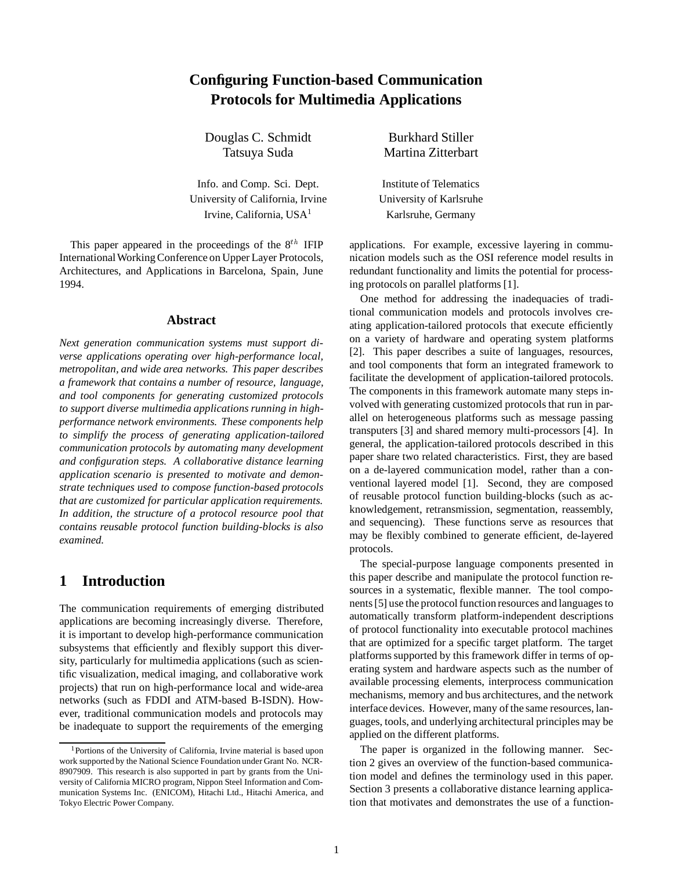## **Configuring Function-based Communication Protocols for Multimedia Applications**

Douglas C. Schmidt Burkhard Stiller

Info. and Comp. Sci. Dept. Institute of Telematics University of California, Irvine University of Karlsruhe Irvine, California, USA<sup>1</sup> Karlsruhe, Germany

This paper appeared in the proceedings of the  $8^{th}$  IFIP International Working Conference on Upper Layer Protocols, Architectures, and Applications in Barcelona, Spain, June 1994.

#### **Abstract**

*Next generation communication systems must support diverse applications operating over high-performance local, metropolitan, and wide area networks. This paper describes a framework that contains a number of resource, language, and tool components for generating customized protocols to support diverse multimedia applications running in highperformance network environments. These components help to simplify the process of generating application-tailored communication protocols by automating many development and configuration steps. A collaborative distance learning application scenario is presented to motivate and demonstrate techniques used to compose function-based protocols that are customized for particular application requirements. In addition, the structure of a protocol resource pool that contains reusable protocol function building-blocks is also examined.*

### **1 Introduction**

The communication requirements of emerging distributed applications are becoming increasingly diverse. Therefore, it is important to develop high-performance communication subsystems that efficiently and flexibly support this diversity, particularly for multimedia applications (such as scientific visualization, medical imaging, and collaborative work projects) that run on high-performance local and wide-area networks (such as FDDI and ATM-based B-ISDN). However, traditional communication models and protocols may be inadequate to support the requirements of the emerging

Tatsuya Suda Martina Zitterbart

applications. For example, excessive layering in communication models such as the OSI reference model results in redundant functionality and limits the potential for processing protocols on parallel platforms [1].

One method for addressing the inadequacies of traditional communication models and protocols involves creating application-tailored protocols that execute efficiently on a variety of hardware and operating system platforms [2]. This paper describes a suite of languages, resources, and tool components that form an integrated framework to facilitate the development of application-tailored protocols. The components in this framework automate many steps involved with generating customized protocols that run in parallel on heterogeneous platforms such as message passing transputers [3] and shared memory multi-processors [4]. In general, the application-tailored protocols described in this paper share two related characteristics. First, they are based on a de-layered communication model, rather than a conventional layered model [1]. Second, they are composed of reusable protocol function building-blocks (such as acknowledgement, retransmission, segmentation, reassembly, and sequencing). These functions serve as resources that may be flexibly combined to generate efficient, de-layered protocols.

The special-purpose language components presented in this paper describe and manipulate the protocol function resources in a systematic, flexible manner. The tool components [5] use the protocol function resources and languages to automatically transform platform-independent descriptions of protocol functionality into executable protocol machines that are optimized for a specific target platform. The target platforms supported by this framework differ in terms of operating system and hardware aspects such as the number of available processing elements, interprocess communication mechanisms, memory and bus architectures, and the network interface devices. However, many of the same resources, languages, tools, and underlying architectural principles may be applied on the different platforms.

The paper is organized in the following manner. Section 2 gives an overview of the function-based communication model and defines the terminology used in this paper. Section 3 presents a collaborative distance learning application that motivates and demonstrates the use of a function-

<sup>&</sup>lt;sup>1</sup>Portions of the University of California, Irvine material is based upon work supported by the National Science Foundation under Grant No. NCR-8907909. This research is also supported in part by grants from the University of California MICRO program, Nippon Steel Information and Communication Systems Inc. (ENICOM), Hitachi Ltd., Hitachi America, and Tokyo Electric Power Company.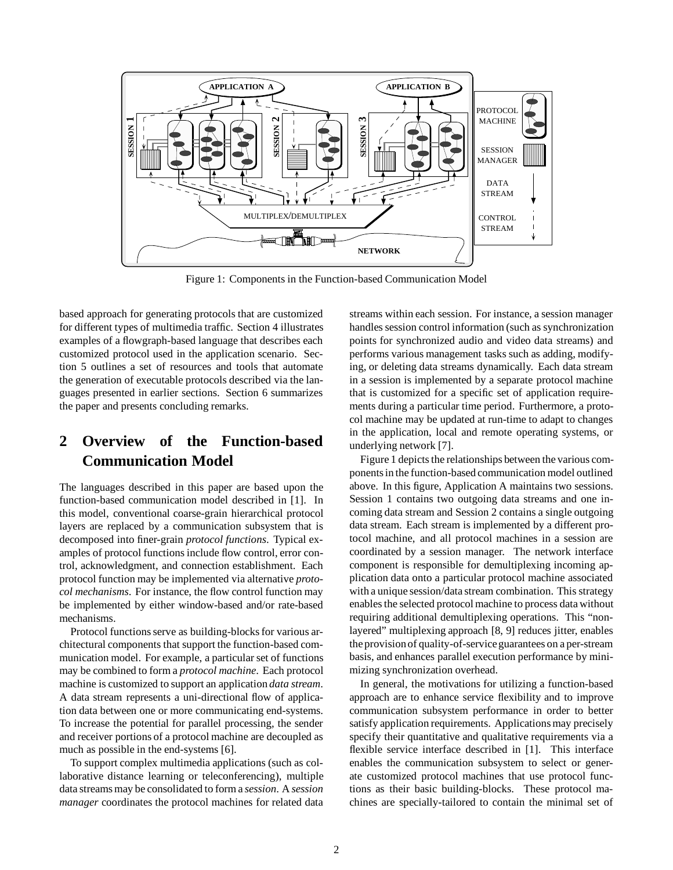

Figure 1: Components in the Function-based Communication Model

based approach for generating protocols that are customized for different types of multimedia traffic. Section 4 illustrates examples of a flowgraph-based language that describes each customized protocol used in the application scenario. Section 5 outlines a set of resources and tools that automate the generation of executable protocols described via the languages presented in earlier sections. Section 6 summarizes the paper and presents concluding remarks.

# **2 Overview of the Function-based Communication Model**

The languages described in this paper are based upon the function-based communication model described in [1]. In this model, conventional coarse-grain hierarchical protocol layers are replaced by a communication subsystem that is decomposed into finer-grain *protocol functions*. Typical examples of protocol functions include flow control, error control, acknowledgment, and connection establishment. Each protocol function may be implemented via alternative *protocol mechanisms*. For instance, the flow control function may be implemented by either window-based and/or rate-based mechanisms.

Protocol functions serve as building-blocks for various architectural components that support the function-based communication model. For example, a particular set of functions may be combined to form a *protocol machine*. Each protocol machine is customized to support an application *data stream*. A data stream represents a uni-directional flow of application data between one or more communicating end-systems. To increase the potential for parallel processing, the sender and receiver portions of a protocol machine are decoupled as much as possible in the end-systems [6].

To support complex multimedia applications (such as collaborative distance learning or teleconferencing), multiple data streams may be consolidated to form a *session*. A *session manager* coordinates the protocol machines for related data

streams within each session. For instance, a session manager handles session control information (such as synchronization points for synchronized audio and video data streams) and performs various management tasks such as adding, modifying, or deleting data streams dynamically. Each data stream in a session is implemented by a separate protocol machine that is customized for a specific set of application requirements during a particular time period. Furthermore, a protocol machine may be updated at run-time to adapt to changes in the application, local and remote operating systems, or underlying network [7].

Figure 1 depicts the relationships between the various components in the function-based communication model outlined above. In this figure, Application A maintains two sessions. Session 1 contains two outgoing data streams and one incoming data stream and Session 2 contains a single outgoing data stream. Each stream is implemented by a different protocol machine, and all protocol machines in a session are coordinated by a session manager. The network interface component is responsible for demultiplexing incoming application data onto a particular protocol machine associated with a unique session/data stream combination. This strategy enables the selected protocol machine to process data without requiring additional demultiplexing operations. This "nonlayered" multiplexing approach [8, 9] reduces jitter, enables the provisionof quality-of-serviceguarantees on a per-stream basis, and enhances parallel execution performance by minimizing synchronization overhead.

In general, the motivations for utilizing a function-based approach are to enhance service flexibility and to improve communication subsystem performance in order to better satisfy application requirements. Applications may precisely specify their quantitative and qualitative requirements via a flexible service interface described in [1]. This interface enables the communication subsystem to select or generate customized protocol machines that use protocol functions as their basic building-blocks. These protocol machines are specially-tailored to contain the minimal set of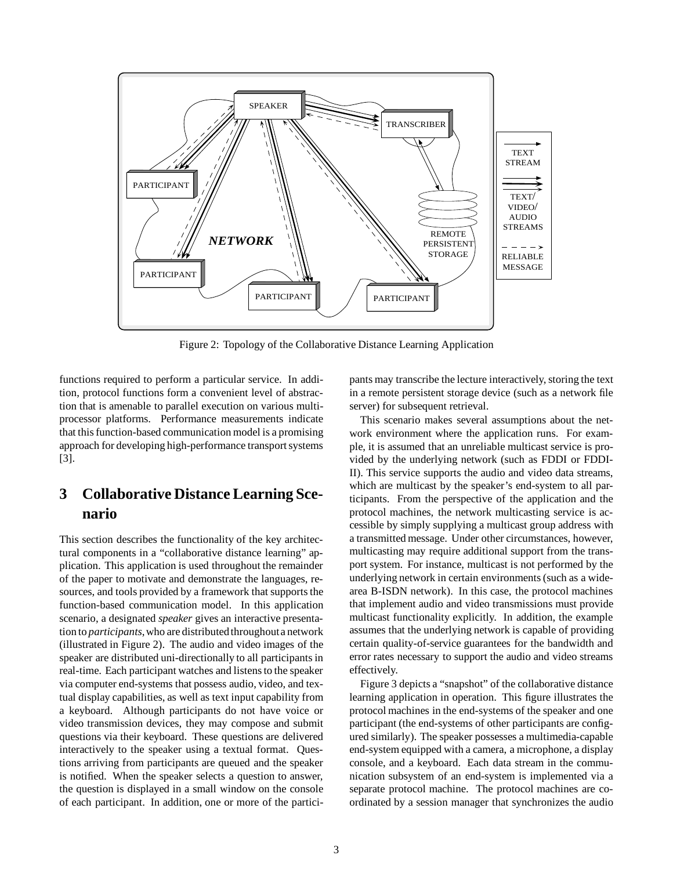

Figure 2: Topology of the Collaborative Distance Learning Application

functions required to perform a particular service. In addition, protocol functions form a convenient level of abstraction that is amenable to parallel execution on various multiprocessor platforms. Performance measurements indicate that this function-based communication model is a promising approach for developing high-performance transport systems [3].

# **3 Collaborative Distance Learning Scenario**

This section describes the functionality of the key architectural components in a "collaborative distance learning" application. This application is used throughout the remainder of the paper to motivate and demonstrate the languages, resources, and tools provided by a framework that supports the function-based communication model. In this application scenario, a designated *speaker* gives an interactive presentation to *participants*, who are distributed throughout a network (illustrated in Figure 2). The audio and video images of the speaker are distributed uni-directionally to all participants in real-time. Each participant watches and listens to the speaker via computer end-systems that possess audio, video, and textual display capabilities, as well as text input capability from a keyboard. Although participants do not have voice or video transmission devices, they may compose and submit questions via their keyboard. These questions are delivered interactively to the speaker using a textual format. Questions arriving from participants are queued and the speaker is notified. When the speaker selects a question to answer, the question is displayed in a small window on the console of each participant. In addition, one or more of the participants may transcribe the lecture interactively, storing the text in a remote persistent storage device (such as a network file server) for subsequent retrieval.

This scenario makes several assumptions about the network environment where the application runs. For example, it is assumed that an unreliable multicast service is provided by the underlying network (such as FDDI or FDDI-II). This service supports the audio and video data streams, which are multicast by the speaker's end-system to all participants. From the perspective of the application and the protocol machines, the network multicasting service is accessible by simply supplying a multicast group address with a transmitted message. Under other circumstances, however, multicasting may require additional support from the transport system. For instance, multicast is not performed by the underlying network in certain environments (such as a widearea B-ISDN network). In this case, the protocol machines that implement audio and video transmissions must provide multicast functionality explicitly. In addition, the example assumes that the underlying network is capable of providing certain quality-of-service guarantees for the bandwidth and error rates necessary to support the audio and video streams effectively.

Figure 3 depicts a "snapshot" of the collaborative distance learning application in operation. This figure illustrates the protocol machines in the end-systems of the speaker and one participant (the end-systems of other participants are configured similarly). The speaker possesses a multimedia-capable end-system equipped with a camera, a microphone, a display console, and a keyboard. Each data stream in the communication subsystem of an end-system is implemented via a separate protocol machine. The protocol machines are coordinated by a session manager that synchronizes the audio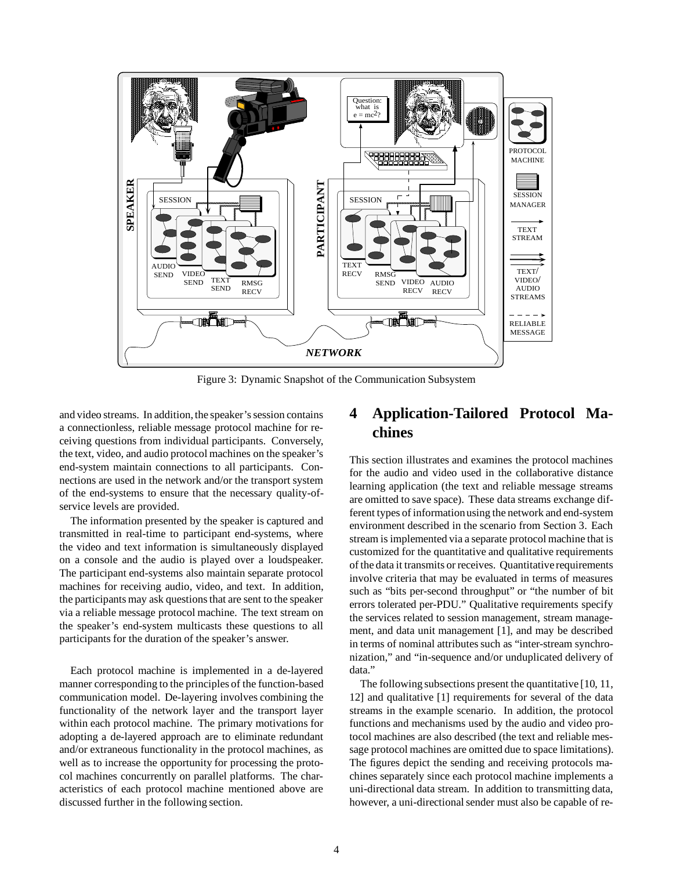

Figure 3: Dynamic Snapshot of the Communication Subsystem

and video streams. In addition, the speaker's session contains a connectionless, reliable message protocol machine for receiving questions from individual participants. Conversely, the text, video, and audio protocol machines on the speaker's end-system maintain connections to all participants. Connections are used in the network and/or the transport system of the end-systems to ensure that the necessary quality-ofservice levels are provided.

The information presented by the speaker is captured and transmitted in real-time to participant end-systems, where the video and text information is simultaneously displayed on a console and the audio is played over a loudspeaker. The participant end-systems also maintain separate protocol machines for receiving audio, video, and text. In addition, the participants may ask questions that are sent to the speaker via a reliable message protocol machine. The text stream on the speaker's end-system multicasts these questions to all participants for the duration of the speaker's answer.

Each protocol machine is implemented in a de-layered manner corresponding to the principles of the function-based communication model. De-layering involves combining the functionality of the network layer and the transport layer within each protocol machine. The primary motivations for adopting a de-layered approach are to eliminate redundant and/or extraneous functionality in the protocol machines, as well as to increase the opportunity for processing the protocol machines concurrently on parallel platforms. The characteristics of each protocol machine mentioned above are discussed further in the following section.

## **4 Application-Tailored Protocol Machines**

This section illustrates and examines the protocol machines for the audio and video used in the collaborative distance learning application (the text and reliable message streams are omitted to save space). These data streams exchange different types of informationusing the network and end-system environment described in the scenario from Section 3. Each stream is implemented via a separate protocol machine that is customized for the quantitative and qualitative requirements of the data it transmits or receives. Quantitative requirements involve criteria that may be evaluated in terms of measures such as "bits per-second throughput" or "the number of bit errors tolerated per-PDU." Qualitative requirements specify the services related to session management, stream management, and data unit management [1], and may be described in terms of nominal attributes such as "inter-stream synchronization," and "in-sequence and/or unduplicated delivery of data."

The following subsections present the quantitative [10, 11, 12] and qualitative [1] requirements for several of the data streams in the example scenario. In addition, the protocol functions and mechanisms used by the audio and video protocol machines are also described (the text and reliable message protocol machines are omitted due to space limitations). The figures depict the sending and receiving protocols machines separately since each protocol machine implements a uni-directional data stream. In addition to transmitting data, however, a uni-directional sender must also be capable of re-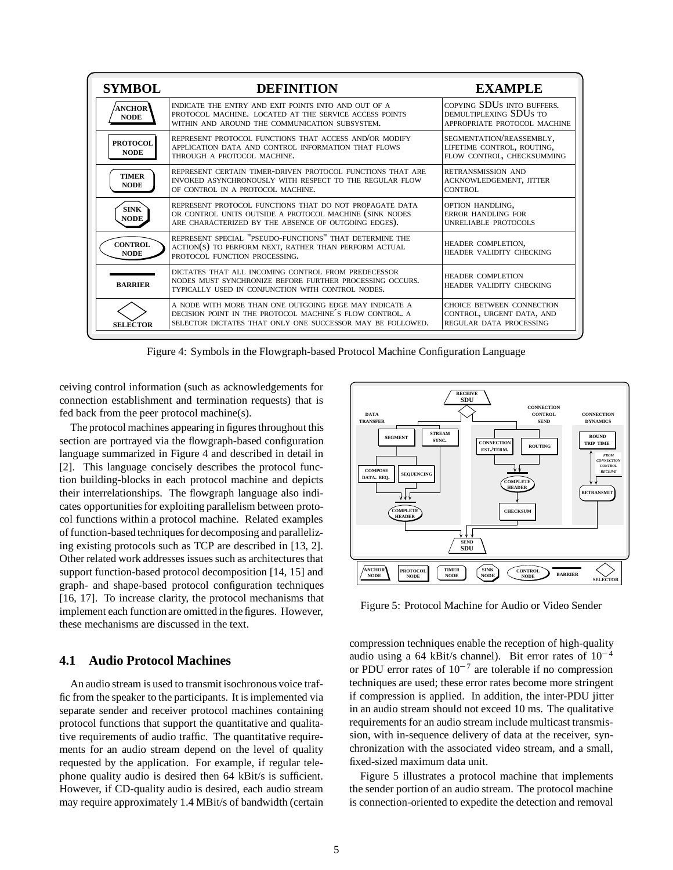| <b>SYMBOL</b>                  | <b>DEFINITION</b>                                                                                                                                                                | <b>EXAMPLE</b>                                                                       |
|--------------------------------|----------------------------------------------------------------------------------------------------------------------------------------------------------------------------------|--------------------------------------------------------------------------------------|
| <b>ANCHOR</b><br><b>NODE</b>   | INDICATE THE ENTRY AND EXIT POINTS INTO AND OUT OF A<br>PROTOCOL MACHINE. LOCATED AT THE SERVICE ACCESS POINTS<br>WITHIN AND AROUND THE COMMUNICATION SUBSYSTEM.                 | COPYING SDUS INTO BUFFERS.<br>DEMULTIPLEXING SDUS TO<br>APPROPRIATE PROTOCOL MACHINE |
| <b>PROTOCOL</b><br><b>NODE</b> | REPRESENT PROTOCOL FUNCTIONS THAT ACCESS AND/OR MODIFY<br>APPLICATION DATA AND CONTROL INFORMATION THAT FLOWS<br>THROUGH A PROTOCOL MACHINE.                                     | SEGMENTATION/REASSEMBLY,<br>LIFETIME CONTROL, ROUTING,<br>FLOW CONTROL, CHECKSUMMING |
| <b>TIMER</b><br><b>NODE</b>    | REPRESENT CERTAIN TIMER-DRIVEN PROTOCOL FUNCTIONS THAT ARE<br>INVOKED ASYNCHRONOUSLY WITH RESPECT TO THE REGULAR FLOW<br>OF CONTROL IN A PROTOCOL MACHINE.                       | RETRANSMISSION AND<br>ACKNOWLEDGEMENT, JITTER<br>CONTROL                             |
| <b>SINK</b><br><b>NODE</b>     | REPRESENT PROTOCOL FUNCTIONS THAT DO NOT PROPAGATE DATA<br>OR CONTROL UNITS OUTSIDE A PROTOCOL MACHINE (SINK NODES<br>ARE CHARACTERIZED BY THE ABSENCE OF OUTGOING EDGES).       | OPTION HANDLING,<br><b>ERROR HANDLING FOR</b><br>UNRELIABLE PROTOCOLS                |
| <b>CONTROL</b><br><b>NODE</b>  | REPRESENT SPECIAL "PSEUDO-FUNCTIONS" THAT DETERMINE THE<br>ACTION(S) TO PERFORM NEXT, RATHER THAN PERFORM ACTUAL<br>PROTOCOL FUNCTION PROCESSING.                                | HEADER COMPLETION,<br>HEADER VALIDITY CHECKING                                       |
| <b>BARRIER</b>                 | DICTATES THAT ALL INCOMING CONTROL FROM PREDECESSOR<br>NODES MUST SYNCHRONIZE BEFORE FURTHER PROCESSING OCCURS.<br>TYPICALLY USED IN CONJUNCTION WITH CONTROL NODES.             | <b>HEADER COMPLETION</b><br>HEADER VALIDITY CHECKING                                 |
| <b>SELECTOR</b>                | A NODE WITH MORE THAN ONE OUTGOING EDGE MAY INDICATE A<br>DECISION POINT IN THE PROTOCOL MACHINE'S FLOW CONTROL, A<br>SELECTOR DICTATES THAT ONLY ONE SUCCESSOR MAY BE FOLLOWED. | CHOICE BETWEEN CONNECTION<br>CONTROL, URGENT DATA, AND<br>REGULAR DATA PROCESSING    |

Figure 4: Symbols in the Flowgraph-based Protocol Machine Configuration Language

ceiving control information (such as acknowledgements for connection establishment and termination requests) that is fed back from the peer protocol machine(s).

The protocol machines appearing in figures throughout this section are portrayed via the flowgraph-based configuration language summarized in Figure 4 and described in detail in [2]. This language concisely describes the protocol function building-blocks in each protocol machine and depicts their interrelationships. The flowgraph language also indicates opportunities for exploiting parallelism between protocol functions within a protocol machine. Related examples of function-based techniques for decomposing and parallelizing existing protocols such as TCP are described in [13, 2]. Other related work addresses issues such as architectures that support function-based protocol decomposition [14, 15] and graph- and shape-based protocol configuration techniques [16, 17]. To increase clarity, the protocol mechanisms that implement each functionare omitted in the figures. However, these mechanisms are discussed in the text.

#### **4.1 Audio Protocol Machines**

An audio stream is used to transmit isochronous voice traffic from the speaker to the participants. It is implemented via separate sender and receiver protocol machines containing protocol functions that support the quantitative and qualitative requirements of audio traffic. The quantitative requirements for an audio stream depend on the level of quality requested by the application. For example, if regular telephone quality audio is desired then 64 kBit/s is sufficient. However, if CD-quality audio is desired, each audio stream may require approximately 1.4 MBit/s of bandwidth (certain



Figure 5: Protocol Machine for Audio or Video Sender

compression techniques enable the reception of high-quality audio using a 64 kBit/s channel). Bit error rates of  $10^{-4}$ or PDU error rates of  $10^{-7}$  are tolerable if no compression techniques are used; these error rates become more stringent if compression is applied. In addition, the inter-PDU jitter in an audio stream should not exceed 10 ms. The qualitative requirements for an audio stream include multicast transmission, with in-sequence delivery of data at the receiver, synchronization with the associated video stream, and a small, fixed-sized maximum data unit.

Figure 5 illustrates a protocol machine that implements the sender portion of an audio stream. The protocol machine is connection-oriented to expedite the detection and removal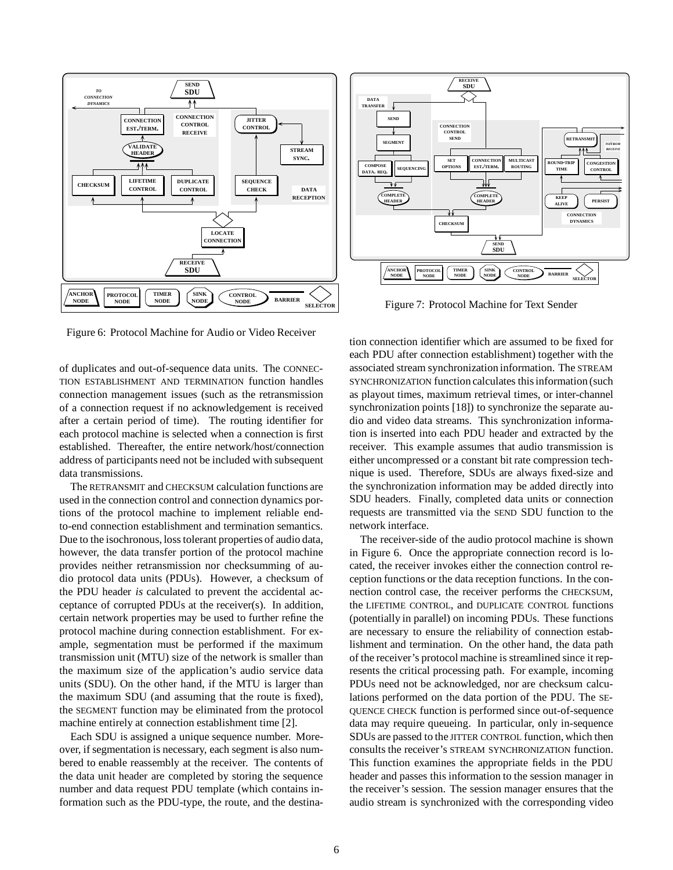

Figure 6: Protocol Machine for Audio or Video Receiver

of duplicates and out-of-sequence data units. The CONNEC-TION ESTABLISHMENT AND TERMINATION function handles connection management issues (such as the retransmission of a connection request if no acknowledgement is received after a certain period of time). The routing identifier for each protocol machine is selected when a connection is first established. Thereafter, the entire network/host/connection address of participants need not be included with subsequent data transmissions.

The RETRANSMIT and CHECKSUM calculation functions are used in the connection control and connection dynamics portions of the protocol machine to implement reliable endto-end connection establishment and termination semantics. Due to the isochronous, loss tolerant properties of audio data, however, the data transfer portion of the protocol machine provides neither retransmission nor checksumming of audio protocol data units (PDUs). However, a checksum of the PDU header *is* calculated to prevent the accidental acceptance of corrupted PDUs at the receiver(s). In addition, certain network properties may be used to further refine the protocol machine during connection establishment. For example, segmentation must be performed if the maximum transmission unit (MTU) size of the network is smaller than the maximum size of the application's audio service data units (SDU). On the other hand, if the MTU is larger than the maximum SDU (and assuming that the route is fixed), the SEGMENT function may be eliminated from the protocol machine entirely at connection establishment time [2].

Each SDU is assigned a unique sequence number. Moreover, if segmentation is necessary, each segment is also numbered to enable reassembly at the receiver. The contents of the data unit header are completed by storing the sequence number and data request PDU template (which contains information such as the PDU-type, the route, and the destina-



Figure 7: Protocol Machine for Text Sender

tion connection identifier which are assumed to be fixed for each PDU after connection establishment) together with the associated stream synchronization information. The STREAM SYNCHRONIZATION function calculates this information (such as playout times, maximum retrieval times, or inter-channel synchronization points [18]) to synchronize the separate audio and video data streams. This synchronization information is inserted into each PDU header and extracted by the receiver. This example assumes that audio transmission is either uncompressed or a constant bit rate compression technique is used. Therefore, SDUs are always fixed-size and the synchronization information may be added directly into SDU headers. Finally, completed data units or connection requests are transmitted via the SEND SDU function to the network interface.

The receiver-side of the audio protocol machine is shown in Figure 6. Once the appropriate connection record is located, the receiver invokes either the connection control reception functions or the data reception functions. In the connection control case, the receiver performs the CHECKSUM, the LIFETIME CONTROL, and DUPLICATE CONTROL functions (potentially in parallel) on incoming PDUs. These functions are necessary to ensure the reliability of connection establishment and termination. On the other hand, the data path of the receiver's protocol machine is streamlined since it represents the critical processing path. For example, incoming PDUs need not be acknowledged, nor are checksum calculations performed on the data portion of the PDU. The SE-QUENCE CHECK function is performed since out-of-sequence data may require queueing. In particular, only in-sequence SDUs are passed to the JITTER CONTROL function, which then consults the receiver's STREAM SYNCHRONIZATION function. This function examines the appropriate fields in the PDU header and passes this information to the session manager in the receiver's session. The session manager ensures that the audio stream is synchronized with the corresponding video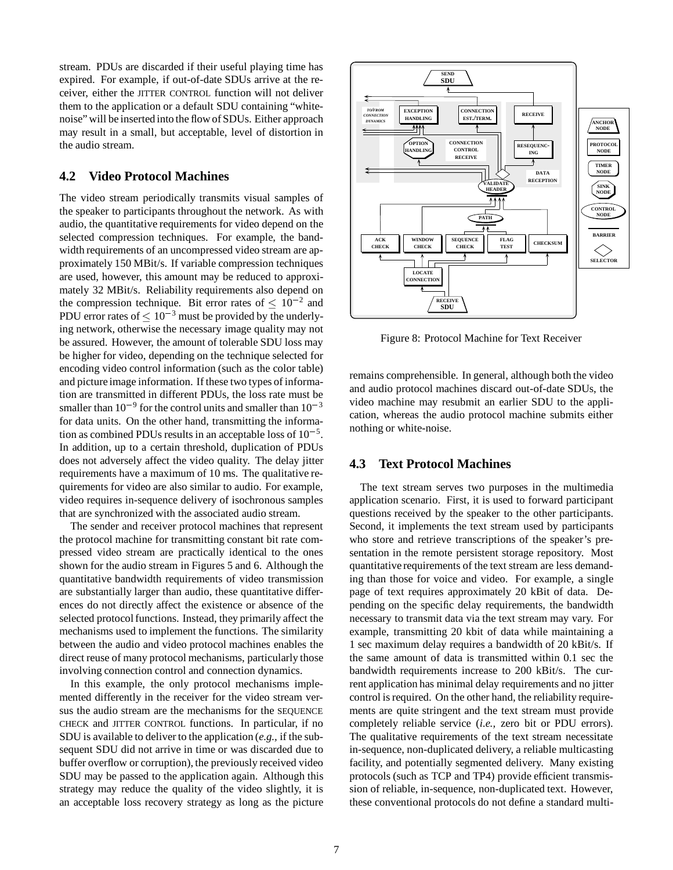stream. PDUs are discarded if their useful playing time has expired. For example, if out-of-date SDUs arrive at the receiver, either the JITTER CONTROL function will not deliver them to the application or a default SDU containing "whitenoise" will be inserted into the flow of SDUs. Either approach may result in a small, but acceptable, level of distortion in the audio stream.

#### **4.2 Video Protocol Machines**

The video stream periodically transmits visual samples of the speaker to participants throughout the network. As with audio, the quantitative requirements for video depend on the selected compression techniques. For example, the bandwidth requirements of an uncompressed video stream are approximately 150 MBit/s. If variable compression techniques are used, however, this amount may be reduced to approximately 32 MBit/s. Reliability requirements also depend on the compression technique. Bit error rates of  $\leq 10^{-2}$  and PDU error rates of  $\leq 10^{-3}$  must be provided by the underlying network, otherwise the necessary image quality may not be assured. However, the amount of tolerable SDU loss may be higher for video, depending on the technique selected for encoding video control information (such as the color table) and picture image information. If these two types of information are transmitted in different PDUs, the loss rate must be smaller than  $10^{-9}$  for the control units and smaller than  $10^{-3}$ for data units. On the other hand, transmitting the information as combined PDUs results in an acceptable loss of  $10^{-5}$ . In addition, up to a certain threshold, duplication of PDUs does not adversely affect the video quality. The delay jitter requirements have a maximum of 10 ms. The qualitative requirements for video are also similar to audio. For example, video requires in-sequence delivery of isochronous samples that are synchronized with the associated audio stream.

The sender and receiver protocol machines that represent the protocol machine for transmitting constant bit rate compressed video stream are practically identical to the ones shown for the audio stream in Figures 5 and 6. Although the quantitative bandwidth requirements of video transmission are substantially larger than audio, these quantitative differences do not directly affect the existence or absence of the selected protocol functions. Instead, they primarily affect the mechanisms used to implement the functions. The similarity between the audio and video protocol machines enables the direct reuse of many protocol mechanisms, particularly those involving connection control and connection dynamics.

In this example, the only protocol mechanisms implemented differently in the receiver for the video stream versus the audio stream are the mechanisms for the SEQUENCE CHECK and JITTER CONTROL functions. In particular, if no SDU is available to deliver to the application (*e.g.,* if the subsequent SDU did not arrive in time or was discarded due to buffer overflow or corruption), the previously received video SDU may be passed to the application again. Although this strategy may reduce the quality of the video slightly, it is an acceptable loss recovery strategy as long as the picture



Figure 8: Protocol Machine for Text Receiver

remains comprehensible. In general, although both the video and audio protocol machines discard out-of-date SDUs, the video machine may resubmit an earlier SDU to the application, whereas the audio protocol machine submits either nothing or white-noise.

#### **4.3 Text Protocol Machines**

The text stream serves two purposes in the multimedia application scenario. First, it is used to forward participant questions received by the speaker to the other participants. Second, it implements the text stream used by participants who store and retrieve transcriptions of the speaker's presentation in the remote persistent storage repository. Most quantitative requirements of the text stream are less demanding than those for voice and video. For example, a single page of text requires approximately 20 kBit of data. Depending on the specific delay requirements, the bandwidth necessary to transmit data via the text stream may vary. For example, transmitting 20 kbit of data while maintaining a 1 sec maximum delay requires a bandwidth of 20 kBit/s. If the same amount of data is transmitted within 0.1 sec the bandwidth requirements increase to 200 kBit/s. The current application has minimal delay requirements and no jitter control is required. On the other hand, the reliability requirements are quite stringent and the text stream must provide completely reliable service (*i.e.,* zero bit or PDU errors). The qualitative requirements of the text stream necessitate in-sequence, non-duplicated delivery, a reliable multicasting facility, and potentially segmented delivery. Many existing protocols (such as TCP and TP4) provide efficient transmission of reliable, in-sequence, non-duplicated text. However, these conventional protocols do not define a standard multi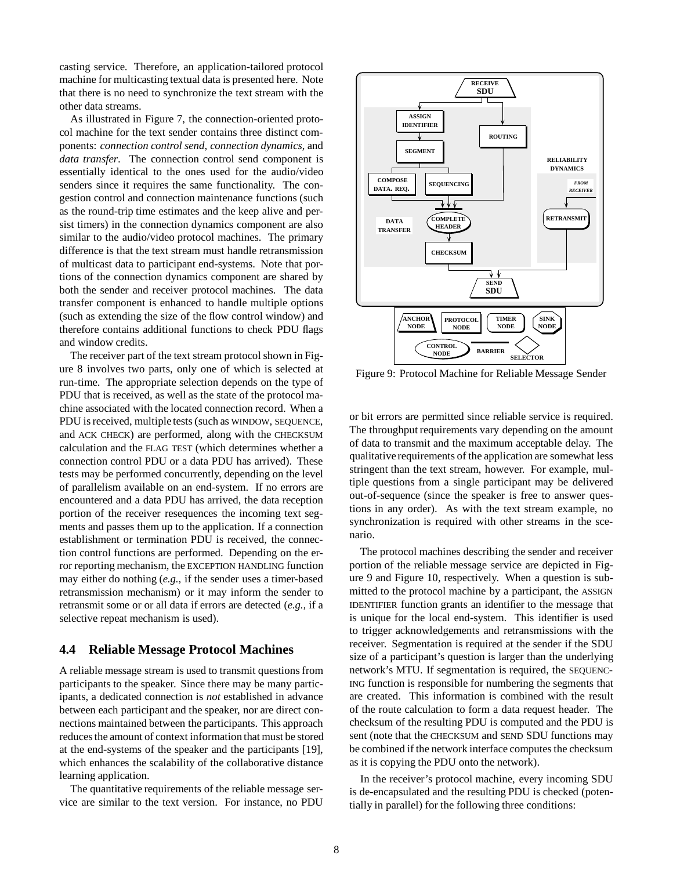casting service. Therefore, an application-tailored protocol machine for multicasting textual data is presented here. Note that there is no need to synchronize the text stream with the other data streams.

As illustrated in Figure 7, the connection-oriented protocol machine for the text sender contains three distinct components: *connection control send*, *connection dynamics*, and *data transfer*. The connection control send component is essentially identical to the ones used for the audio/video senders since it requires the same functionality. The congestion control and connection maintenance functions (such as the round-trip time estimates and the keep alive and persist timers) in the connection dynamics component are also similar to the audio/video protocol machines. The primary difference is that the text stream must handle retransmission of multicast data to participant end-systems. Note that portions of the connection dynamics component are shared by both the sender and receiver protocol machines. The data transfer component is enhanced to handle multiple options (such as extending the size of the flow control window) and therefore contains additional functions to check PDU flags and window credits.

The receiver part of the text stream protocol shown in Figure 8 involves two parts, only one of which is selected at run-time. The appropriate selection depends on the type of PDU that is received, as well as the state of the protocol machine associated with the located connection record. When a PDU is received, multiple tests (such as WINDOW, SEQUENCE, and ACK CHECK) are performed, along with the CHECKSUM calculation and the FLAG TEST (which determines whether a connection control PDU or a data PDU has arrived). These tests may be performed concurrently, depending on the level of parallelism available on an end-system. If no errors are encountered and a data PDU has arrived, the data reception portion of the receiver resequences the incoming text segments and passes them up to the application. If a connection establishment or termination PDU is received, the connection control functions are performed. Depending on the error reporting mechanism, the EXCEPTION HANDLING function may either do nothing (*e.g.,* if the sender uses a timer-based retransmission mechanism) or it may inform the sender to retransmit some or or all data if errors are detected (*e.g.,* if a selective repeat mechanism is used).

#### **4.4 Reliable Message Protocol Machines**

A reliable message stream is used to transmit questions from participants to the speaker. Since there may be many participants, a dedicated connection is *not* established in advance between each participant and the speaker, nor are direct connections maintained between the participants. This approach reduces the amount of context information that must be stored at the end-systems of the speaker and the participants [19], which enhances the scalability of the collaborative distance learning application.

The quantitative requirements of the reliable message service are similar to the text version. For instance, no PDU



Figure 9: Protocol Machine for Reliable Message Sender

or bit errors are permitted since reliable service is required. The throughput requirements vary depending on the amount of data to transmit and the maximum acceptable delay. The qualitative requirements of the application are somewhat less stringent than the text stream, however. For example, multiple questions from a single participant may be delivered out-of-sequence (since the speaker is free to answer questions in any order). As with the text stream example, no synchronization is required with other streams in the scenario.

The protocol machines describing the sender and receiver portion of the reliable message service are depicted in Figure 9 and Figure 10, respectively. When a question is submitted to the protocol machine by a participant, the ASSIGN IDENTIFIER function grants an identifier to the message that is unique for the local end-system. This identifier is used to trigger acknowledgements and retransmissions with the receiver. Segmentation is required at the sender if the SDU size of a participant's question is larger than the underlying network's MTU. If segmentation is required, the SEQUENC-ING function is responsible for numbering the segments that are created. This information is combined with the result of the route calculation to form a data request header. The checksum of the resulting PDU is computed and the PDU is sent (note that the CHECKSUM and SEND SDU functions may be combined if the network interface computes the checksum as it is copying the PDU onto the network).

In the receiver's protocol machine, every incoming SDU is de-encapsulated and the resulting PDU is checked (potentially in parallel) for the following three conditions: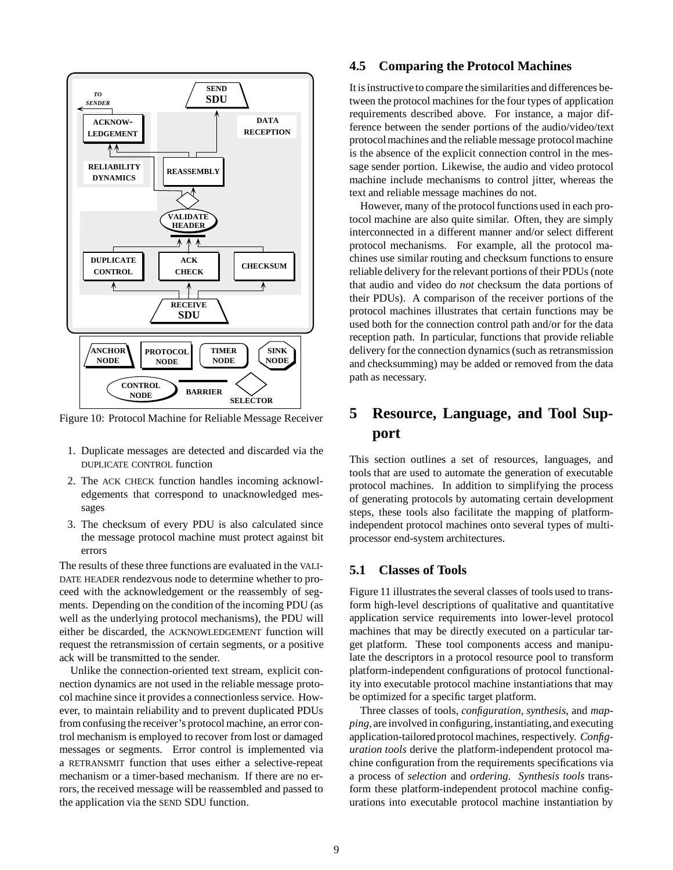

Figure 10: Protocol Machine for Reliable Message Receiver

- 1. Duplicate messages are detected and discarded via the DUPLICATE CONTROL function
- 2. The ACK CHECK function handles incoming acknowledgements that correspond to unacknowledged messages
- 3. The checksum of every PDU is also calculated since the message protocol machine must protect against bit errors

The results of these three functions are evaluated in the VALI-DATE HEADER rendezvous node to determine whether to proceed with the acknowledgement or the reassembly of segments. Depending on the condition of the incoming PDU (as well as the underlying protocol mechanisms), the PDU will either be discarded, the ACKNOWLEDGEMENT function will request the retransmission of certain segments, or a positive ack will be transmitted to the sender.

Unlike the connection-oriented text stream, explicit connection dynamics are not used in the reliable message protocol machine since it provides a connectionless service. However, to maintain reliability and to prevent duplicated PDUs from confusing the receiver's protocol machine, an error control mechanism is employed to recover from lost or damaged messages or segments. Error control is implemented via a RETRANSMIT function that uses either a selective-repeat mechanism or a timer-based mechanism. If there are no errors, the received message will be reassembled and passed to the application via the SEND SDU function.

#### **4.5 Comparing the Protocol Machines**

It is instructive to compare the similarities and differences between the protocol machines for the four types of application requirements described above. For instance, a major difference between the sender portions of the audio/video/text protocol machines and the reliable message protocol machine is the absence of the explicit connection control in the message sender portion. Likewise, the audio and video protocol machine include mechanisms to control jitter, whereas the text and reliable message machines do not.

However, many of the protocol functions used in each protocol machine are also quite similar. Often, they are simply interconnected in a different manner and/or select different protocol mechanisms. For example, all the protocol machines use similar routing and checksum functions to ensure reliable delivery for the relevant portions of their PDUs (note that audio and video do *not* checksum the data portions of their PDUs). A comparison of the receiver portions of the protocol machines illustrates that certain functions may be used both for the connection control path and/or for the data reception path. In particular, functions that provide reliable delivery for the connection dynamics (such as retransmission and checksumming) may be added or removed from the data path as necessary.

## **5 Resource, Language, and Tool Support**

This section outlines a set of resources, languages, and tools that are used to automate the generation of executable protocol machines. In addition to simplifying the process of generating protocols by automating certain development steps, these tools also facilitate the mapping of platformindependent protocol machines onto several types of multiprocessor end-system architectures.

#### **5.1 Classes of Tools**

Figure 11 illustrates the several classes of tools used to transform high-level descriptions of qualitative and quantitative application service requirements into lower-level protocol machines that may be directly executed on a particular target platform. These tool components access and manipulate the descriptors in a protocol resource pool to transform platform-independent configurations of protocol functionality into executable protocol machine instantiations that may be optimized for a specific target platform.

Three classes of tools, *configuration*, *synthesis*, and *mapping*, are involved in configuring, instantiating, and executing application-tailored protocol machines, respectively. *Configuration tools* derive the platform-independent protocol machine configuration from the requirements specifications via a process of *selection* and *ordering*. *Synthesis tools* transform these platform-independent protocol machine configurations into executable protocol machine instantiation by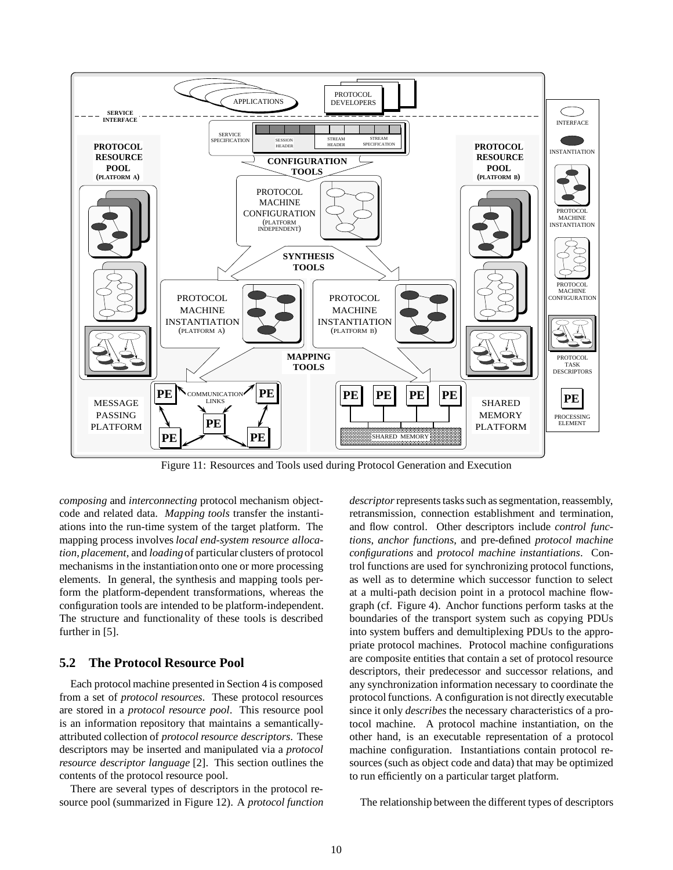

Figure 11: Resources and Tools used during Protocol Generation and Execution

*composing* and *interconnecting* protocol mechanism objectcode and related data. *Mapping tools* transfer the instantiations into the run-time system of the target platform. The mapping process involves *local end-system resource allocation*, *placement*, and *loading*of particular clusters of protocol mechanisms in the instantiation onto one or more processing elements. In general, the synthesis and mapping tools perform the platform-dependent transformations, whereas the configuration tools are intended to be platform-independent. The structure and functionality of these tools is described further in [5].

#### **5.2 The Protocol Resource Pool**

Each protocol machine presented in Section 4 is composed from a set of *protocol resources*. These protocol resources are stored in a *protocol resource pool*. This resource pool is an information repository that maintains a semanticallyattributed collection of *protocol resource descriptors*. These descriptors may be inserted and manipulated via a *protocol resource descriptor language* [2]. This section outlines the contents of the protocol resource pool.

There are several types of descriptors in the protocol resource pool (summarized in Figure 12). A *protocol function* *descriptor*represents tasks such as segmentation, reassembly, retransmission, connection establishment and termination, and flow control. Other descriptors include *control functions*, *anchor functions*, and pre-defined *protocol machine configurations* and *protocol machine instantiations*. Control functions are used for synchronizing protocol functions, as well as to determine which successor function to select at a multi-path decision point in a protocol machine flowgraph (cf. Figure 4). Anchor functions perform tasks at the boundaries of the transport system such as copying PDUs into system buffers and demultiplexing PDUs to the appropriate protocol machines. Protocol machine configurations are composite entities that contain a set of protocol resource descriptors, their predecessor and successor relations, and any synchronization information necessary to coordinate the protocol functions. A configuration is not directly executable since it only *describes* the necessary characteristics of a protocol machine. A protocol machine instantiation, on the other hand, is an executable representation of a protocol machine configuration. Instantiations contain protocol resources (such as object code and data) that may be optimized to run efficiently on a particular target platform.

The relationship between the different types of descriptors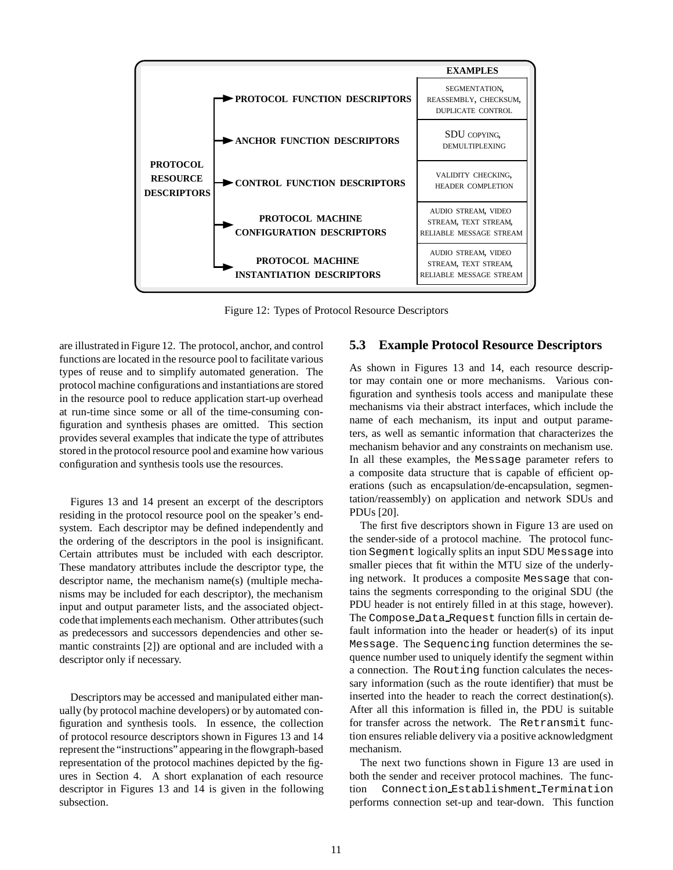

Figure 12: Types of Protocol Resource Descriptors

are illustrated in Figure 12. The protocol, anchor, and control functions are located in the resource pool to facilitate various types of reuse and to simplify automated generation. The protocol machine configurations and instantiations are stored in the resource pool to reduce application start-up overhead at run-time since some or all of the time-consuming configuration and synthesis phases are omitted. This section provides several examples that indicate the type of attributes stored in the protocol resource pool and examine how various configuration and synthesis tools use the resources.

Figures 13 and 14 present an excerpt of the descriptors residing in the protocol resource pool on the speaker's endsystem. Each descriptor may be defined independently and the ordering of the descriptors in the pool is insignificant. Certain attributes must be included with each descriptor. These mandatory attributes include the descriptor type, the descriptor name, the mechanism name(s) (multiple mechanisms may be included for each descriptor), the mechanism input and output parameter lists, and the associated objectcode that implements each mechanism. Other attributes (such as predecessors and successors dependencies and other semantic constraints [2]) are optional and are included with a descriptor only if necessary.

Descriptors may be accessed and manipulated either manually (by protocol machine developers) or by automated configuration and synthesis tools. In essence, the collection of protocol resource descriptors shown in Figures 13 and 14 represent the "instructions" appearing in the flowgraph-based representation of the protocol machines depicted by the figures in Section 4. A short explanation of each resource descriptor in Figures 13 and 14 is given in the following subsection.

#### **5.3 Example Protocol Resource Descriptors**

As shown in Figures 13 and 14, each resource descriptor may contain one or more mechanisms. Various configuration and synthesis tools access and manipulate these mechanisms via their abstract interfaces, which include the name of each mechanism, its input and output parameters, as well as semantic information that characterizes the mechanism behavior and any constraints on mechanism use. In all these examples, the Message parameter refers to a composite data structure that is capable of efficient operations (such as encapsulation/de-encapsulation, segmentation/reassembly) on application and network SDUs and PDUs [20].

The first five descriptors shown in Figure 13 are used on the sender-side of a protocol machine. The protocol function Segment logically splits an input SDU Message into smaller pieces that fit within the MTU size of the underlying network. It produces a composite Message that contains the segments corresponding to the original SDU (the PDU header is not entirely filled in at this stage, however). The Compose Data Request function fills in certain default information into the header or header(s) of its input Message. The Sequencing function determines the sequence number used to uniquely identify the segment within a connection. The Routing function calculates the necessary information (such as the route identifier) that must be inserted into the header to reach the correct destination(s). After all this information is filled in, the PDU is suitable for transfer across the network. The Retransmit function ensures reliable delivery via a positive acknowledgment mechanism.

The next two functions shown in Figure 13 are used in both the sender and receiver protocol machines. The function Connection Establishment Termination performs connection set-up and tear-down. This function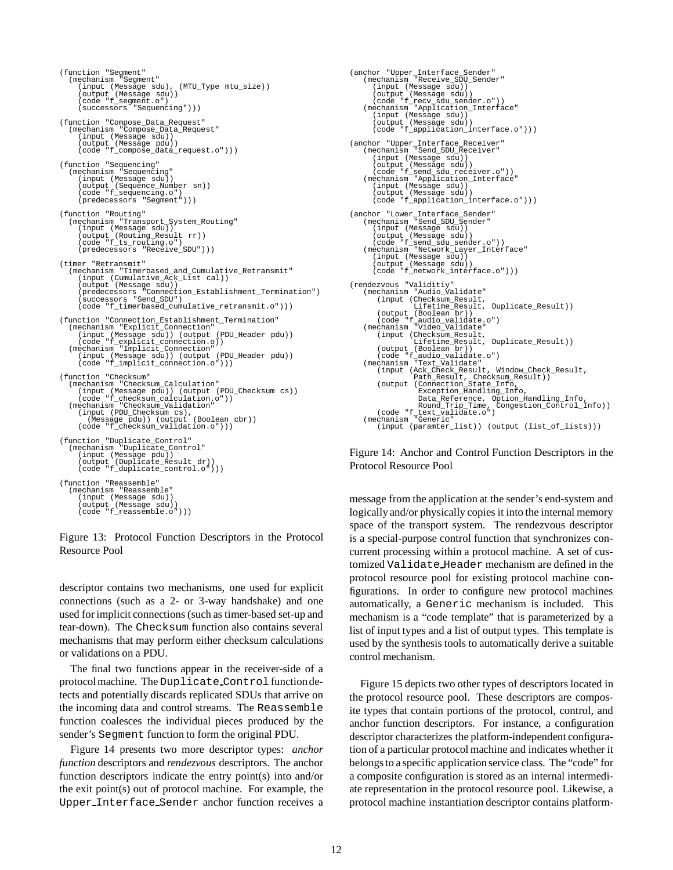```
(function "Segment"
   (mechanism "Segment"
(input (Message sdu), (MTU_Type mtu_size))
       (output (Message sdu))
(code "f_segment.o")
(successors "Sequencing")))
(function "Compose_Data_Request"
   (mechanism "Compose_Data_Request"
(input (Message sdu))
       (output (Message pdu))
(code "f_compose_data_request.o")))
(function "Sequencing"
(mechanism "Sequencing"
       (input (Message sdu))
       (output (Sequence_Number sn))
(code "f_sequencing.o")
       (predecessors "Segment")
(function "Routing"
   (mechanism "Transport_System_Routing"<br>
(input (Message sdu))<br>
(output (Routing_Result rr))<br>
(code "f_ts_routing.o")<br>
(predecessors "Receive_SDU")))
(timer "Retransmit"
   (mechanism "Timerbased_and_Cumulative_Retransmit"
(input (Cumulative_Ack_List cal))
       (output (Message sdu))
       (predecessors "Connection_Establishment_Termination")
(successors "Send_SDU")
       (code "f_timerbased_cumulative_retransmit.o")))
(function "Connection_Establishment_Termination"
(mechanism "Explicit_Connection"
   (input (Message sdu)) (output (PDU_Header pdu))<br>(code "f_explicit_connection.o))<br>(mechanism "Implicit_Connection"
       (input (Message sdu)) (output (PDU_Header pdu))
(code "f_implicit_connection.o")))
(function "Checksum"
   (mechanism "Checksum_Calculation"<br>
(input (Message pdu))(output (PDU_Checksum cs))<br>
(code "f_checksum_calculation.o"))<br>
(mechanism "Checksum_Validation"<br>
(input (PDU_Checksum_Validation")<br>
(Message pdu))(output (Boolean cb
(function "Duplicate_Control"
   (mechanism "Duplicate_Control"
(input (Message pdu))
       (output (Duplicate_Result dr))
(code "f_duplicate_control.o")))
(function "Reassemble"
(mechanism "Reassemble"
       (input (Message sdu))
(output (Message sdu))
(code "f_reassemble.o")))
```
#### Figure 13: Protocol Function Descriptors in the Protocol Resource Pool

descriptor contains two mechanisms, one used for explicit connections (such as a 2- or 3-way handshake) and one used for implicit connections (such as timer-based set-up and tear-down). The Checksum function also contains several mechanisms that may perform either checksum calculations or validations on a PDU.

The final two functions appear in the receiver-side of a protocol machine. The Duplicate Control function detects and potentially discards replicated SDUs that arrive on the incoming data and control streams. The Reassemble function coalesces the individual pieces produced by the sender's Segment function to form the original PDU.

Figure 14 presents two more descriptor types: *anchor function* descriptors and *rendezvous* descriptors. The anchor function descriptors indicate the entry point(s) into and/or the exit point(s) out of protocol machine. For example, the Upper Interface Sender anchor function receives a

```
(anchor "Upper_Interface_Sender"
(mechanism "Receive_SDU_Sender"
(input (Message sdu))
      (output (Message sdu))
(code "f_recv_sdu_sender.o"))
(mechanism "Application_Interface"
          (input (Message sdu))
(output (Message sdu))
(code "f_application_interface.o")))
(anchor "Upper_Interface_Receiver"
(mechanism "Send_SDU_Receiver"
     (mechanism "Send_SDU_Re<br>(input (Message sdu))
      (output (Message sdu))
(code "f_send_sdu_receiver.o"))
(mechanism "Application_Interface"
          (input (Message sdu))
(output (Message sdu))
(code "f_application_interface.o")))
(anchor "Lower_Interface_Sender"
     (mechanism(input (Message sdu))
      (output (Message sdu))
(code "f_send_sdu_sender.o"))
(mechanism "Network_Layer_Interface"
          (input (Message sdu))
(output (Message sdu))
         (code "f_network_interface.o")))
(rendezvous "Validitiy"
      (mechanism "Audio_Validate"
(input (Checksum_Result,
      Lifetime_Result, Duplicate_Result))<br>
(code "f_audio_validate.o")<br>
(rechanism "Video_Validate")
          (input (Checksum_Result,
           Lifetime_Result, Duplicate_Result))
(output (Boolean br))
      (code "f_audio_validate.o")
(mechanism "Text_Validate"
           (input (Ack_Check_Result, Window_Check_Result,
Path_Result, Checksum_Result))
(output (Connection_State_Info,
                            Exception_Handling_Info,
      Data_Reference, Option_Handling_Info,<br>Round_Trip_Time, Congestion_Control_Info))<br>(code "f_text_validate.o")<br>(mechanism "Generic"
           (input (paramter_list)) (output (list_of_lists)))
```
Figure 14: Anchor and Control Function Descriptors in the Protocol Resource Pool

message from the application at the sender's end-system and logically and/or physically copies it into the internal memory space of the transport system. The rendezvous descriptor is a special-purpose control function that synchronizes concurrent processing within a protocol machine. A set of customized Validate Header mechanism are defined in the protocol resource pool for existing protocol machine configurations. In order to configure new protocol machines automatically, a Generic mechanism is included. This mechanism is a "code template" that is parameterized by a list of input types and a list of output types. This template is used by the synthesis tools to automatically derive a suitable control mechanism.

Figure 15 depicts two other types of descriptors located in the protocol resource pool. These descriptors are composite types that contain portions of the protocol, control, and anchor function descriptors. For instance, a configuration descriptor characterizes the platform-independent configuration of a particular protocol machine and indicates whether it belongs to a specific application service class. The "code" for a composite configuration is stored as an internal intermediate representation in the protocol resource pool. Likewise, a protocol machine instantiation descriptor contains platform-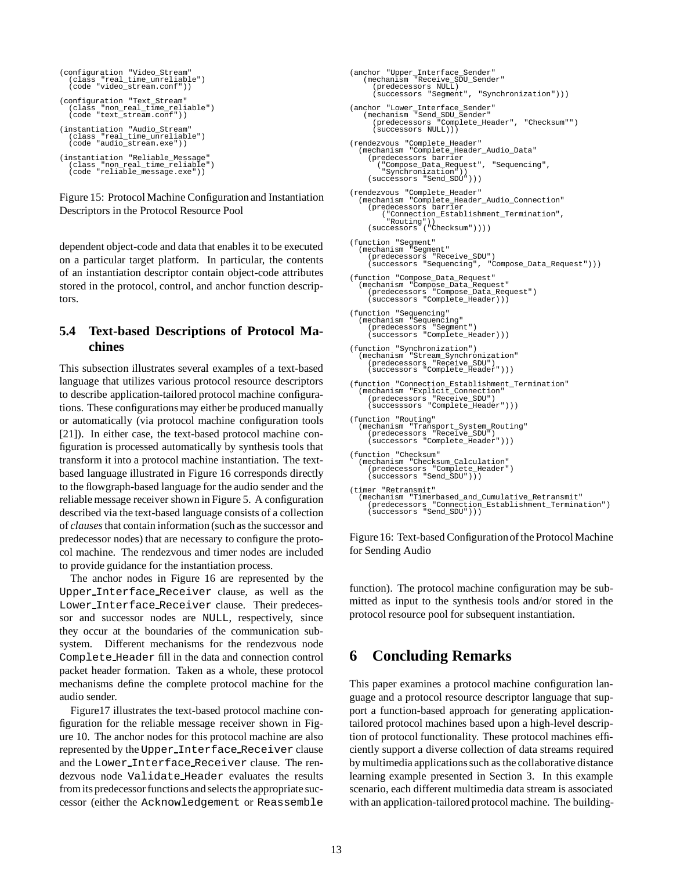```
(configuration "Video_Stream"
   (class "real_time_unreliable")
(code "video_stream.conf"))
(configuration "Text_Stream"
(class "non_real_time_reliable")
   (code "text_stream.conf"))
(instantiation "Audio_Stream"
   (class "real_time_unreliable")
(code "audio_stream.exe"))
(instantiation "Reliable_Message"
   (class "non_real_time_reliable")
(code "reliable_message.exe"))
```
Figure 15: Protocol Machine Configuration and Instantiation Descriptors in the Protocol Resource Pool

dependent object-code and data that enables it to be executed on a particular target platform. In particular, the contents of an instantiation descriptor contain object-code attributes stored in the protocol, control, and anchor function descriptors.

### **5.4 Text-based Descriptions of Protocol Machines**

This subsection illustrates several examples of a text-based language that utilizes various protocol resource descriptors to describe application-tailored protocol machine configurations. These configurations may either be produced manually or automatically (via protocol machine configuration tools [21]). In either case, the text-based protocol machine configuration is processed automatically by synthesis tools that transform it into a protocol machine instantiation. The textbased language illustrated in Figure 16 corresponds directly to the flowgraph-based language for the audio sender and the reliable message receiver shown in Figure 5. A configuration described via the text-based language consists of a collection of *clauses*that contain information (such as the successor and predecessor nodes) that are necessary to configure the protocol machine. The rendezvous and timer nodes are included to provide guidance for the instantiation process.

The anchor nodes in Figure 16 are represented by the Upper Interface Receiver clause, as well as the Lower Interface Receiver clause. Their predecessor and successor nodes are NULL, respectively, since they occur at the boundaries of the communication subsystem. Different mechanisms for the rendezvous node Complete Header fill in the data and connection control packet header formation. Taken as a whole, these protocol mechanisms define the complete protocol machine for the audio sender.

Figure17 illustrates the text-based protocol machine configuration for the reliable message receiver shown in Figure 10. The anchor nodes for this protocol machine are also represented by the Upper Interface Receiver clause and the Lower Interface Receiver clause. The rendezvous node Validate Header evaluates the results from its predecessor functions and selects the appropriate successor (either the Acknowledgement or Reassemble

```
(anchor "Upper_Interface_Sender"
(mechanism "Receive_SDU_Sender"
(predecessors NULL)
       (successors "Segment", "Synchronization")))
(anchor "Lower_Interface_Sender"
(mechanism "Send_SDU_Sender"
(predecessors "Complete_Header", "Checksum"")
       (successors NULL)))
(rendezvous "Complete_Header"
   (mechanism "Complete_Header_Audio_Data"
      (predecessors barrier
         ("Compose_Data_Request", "Sequencing",
           "Synchronization"))
      (successors "Send_SDU")))
(rendezvous "Complete_Header"
   (mechanism "Complete_Header_Audio_Connection"
      (predecessors barrier
            ("Connection_Establishment_Termination",
      "Routing"))
(successors ("Checksum"))))
(function "Segment"
   (mechanism "Segment"
      (predecessors "Receive_SDU")
(successors "Sequencing", "Compose_Data_Request")))
(function "Compose_Data_Request"
   (mechanism "Compose_Data_Request"
(predecessors "Compose_Data_Request")
(successors "Complete_Header)))
(function "Sequencing"
   (mechanism "Sequencing"
(predecessors "Segment")
(successors "Complete_Header)))
(function "Synchronization")
   (mechanism "Stream_Synchronization"
(predecessors "Receive_SDU")
(successors "Complete_Header")))
(function "Connection_Establishment_Termination"
   (mechanism "Explicit_Connection"
      (predecessors "Receive_SDU")
(successsors "Complete_Header")))
(function "Routing"
   (mechanism "Transport_System_Routing"
(predecessors "Receive_SDU")
(successors "Complete_Header")))
(function "Checksum"
   (mechanism "Checksum_Calculation"
(predecessors "Complete_Header")
(successors "Send_SDU")))
(timer "Retransmit"
   (mechanism "Timerbased_and_Cumulative_Retransmit"<br>
(predecessors "Connection_Establishment_Termination")<br>
(successors "Send_SDU")))
```
Figure 16: Text-based Configurationof the Protocol Machine for Sending Audio

function). The protocol machine configuration may be submitted as input to the synthesis tools and/or stored in the protocol resource pool for subsequent instantiation.

## **6 Concluding Remarks**

This paper examines a protocol machine configuration language and a protocol resource descriptor language that support a function-based approach for generating applicationtailored protocol machines based upon a high-level description of protocol functionality. These protocol machines efficiently support a diverse collection of data streams required by multimedia applications such as the collaborative distance learning example presented in Section 3. In this example scenario, each different multimedia data stream is associated with an application-tailored protocol machine. The building-